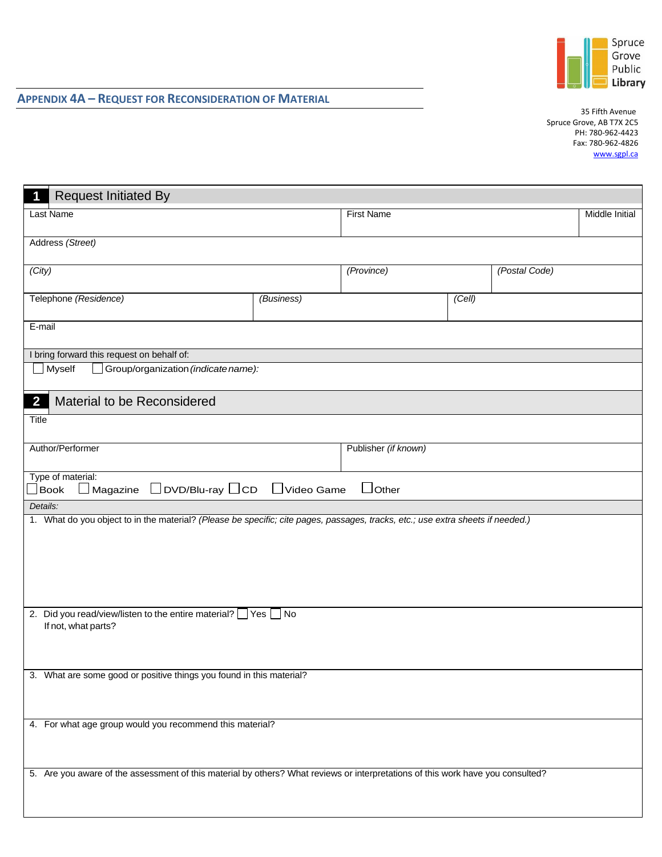

**APPENDIX 4A – REQUEST FOR RECONSIDERATION OF MATERIAL** 

35 Fifth Avenue Spruce Grove, AB T7X 2C5 PH: 780-962-4423 Fax: 780-962-4826 [www.sgpl.ca](http://www.sprucegrovelibrary.org/)

| <b>Request Initiated By</b>                                                                                                     |            |                      |        |                |  |  |
|---------------------------------------------------------------------------------------------------------------------------------|------------|----------------------|--------|----------------|--|--|
| Last Name                                                                                                                       |            | <b>First Name</b>    |        | Middle Initial |  |  |
| Address (Street)                                                                                                                |            |                      |        |                |  |  |
|                                                                                                                                 |            |                      |        |                |  |  |
| (City)                                                                                                                          |            | (Province)           |        | (Postal Code)  |  |  |
| Telephone (Residence)                                                                                                           | (Business) |                      | (Cell) |                |  |  |
| E-mail                                                                                                                          |            |                      |        |                |  |  |
| I bring forward this request on behalf of:                                                                                      |            |                      |        |                |  |  |
| $\rfloor$ Myself<br>Group/organization (indicate name):                                                                         |            |                      |        |                |  |  |
| Material to be Reconsidered<br>$\overline{\mathbf{2}}$                                                                          |            |                      |        |                |  |  |
| Title                                                                                                                           |            |                      |        |                |  |  |
| Author/Performer                                                                                                                |            | Publisher (if known) |        |                |  |  |
| Type of material:                                                                                                               |            |                      |        |                |  |  |
| $\Box$ DVD/Blu-ray $\Box$ CD<br>$\square$ Other<br>Video Game<br>$\Box$ Magazine<br>Book                                        |            |                      |        |                |  |  |
| Details:                                                                                                                        |            |                      |        |                |  |  |
| 1. What do you object to in the material? (Please be specific; cite pages, passages, tracks, etc.; use extra sheets if needed.) |            |                      |        |                |  |  |
|                                                                                                                                 |            |                      |        |                |  |  |
|                                                                                                                                 |            |                      |        |                |  |  |
|                                                                                                                                 |            |                      |        |                |  |  |
|                                                                                                                                 |            |                      |        |                |  |  |
| 2. Did you read/view/listen to the entire material? $\Box$ Yes $\Box$ No<br>If not, what parts?                                 |            |                      |        |                |  |  |
|                                                                                                                                 |            |                      |        |                |  |  |
|                                                                                                                                 |            |                      |        |                |  |  |
| 3. What are some good or positive things you found in this material?                                                            |            |                      |        |                |  |  |
|                                                                                                                                 |            |                      |        |                |  |  |
|                                                                                                                                 |            |                      |        |                |  |  |
| 4. For what age group would you recommend this material?                                                                        |            |                      |        |                |  |  |
|                                                                                                                                 |            |                      |        |                |  |  |
| 5. Are you aware of the assessment of this material by others? What reviews or interpretations of this work have you consulted? |            |                      |        |                |  |  |
|                                                                                                                                 |            |                      |        |                |  |  |
|                                                                                                                                 |            |                      |        |                |  |  |